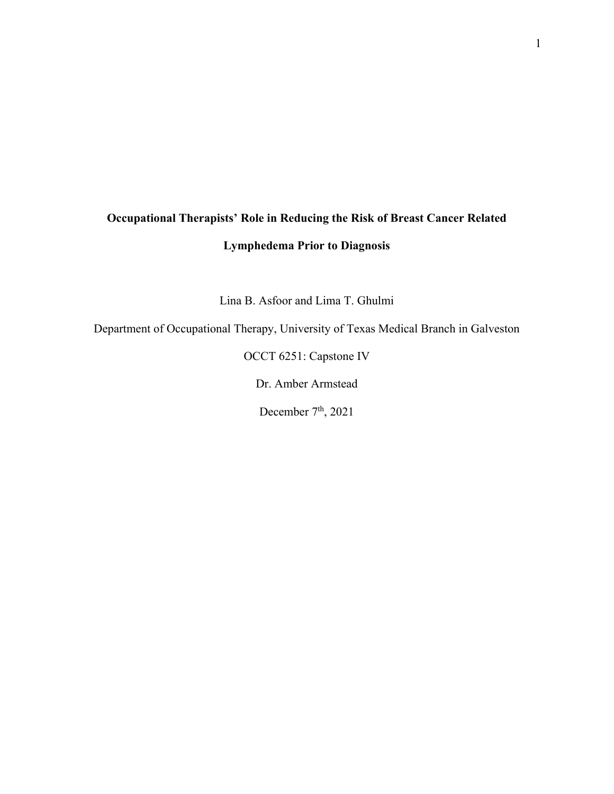# **Occupational Therapists' Role in Reducing the Risk of Breast Cancer Related Lymphedema Prior to Diagnosis**

Lina B. Asfoor and Lima T. Ghulmi

Department of Occupational Therapy, University of Texas Medical Branch in Galveston

OCCT 6251: Capstone IV

Dr. Amber Armstead

December 7<sup>th</sup>, 2021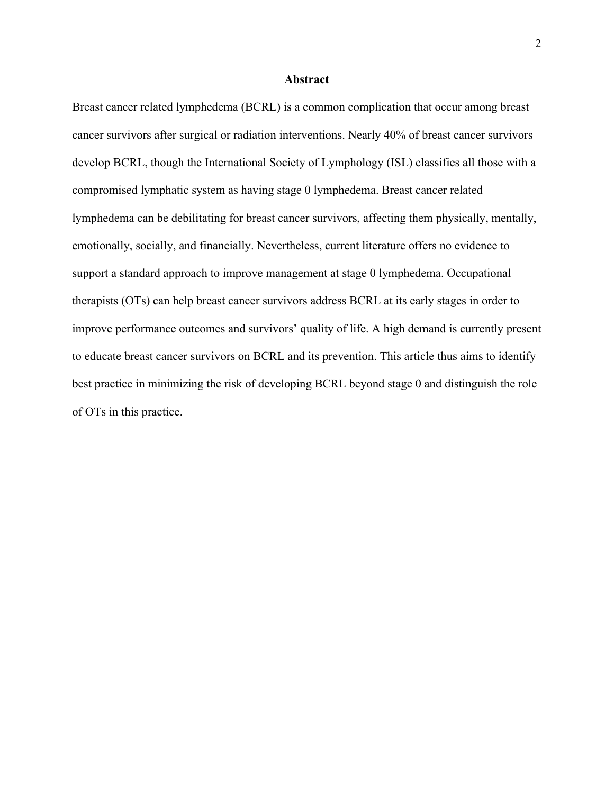#### **Abstract**

Breast cancer related lymphedema (BCRL) is a common complication that occur among breast cancer survivors after surgical or radiation interventions. Nearly 40% of breast cancer survivors develop BCRL, though the International Society of Lymphology (ISL) classifies all those with a compromised lymphatic system as having stage 0 lymphedema. Breast cancer related lymphedema can be debilitating for breast cancer survivors, affecting them physically, mentally, emotionally, socially, and financially. Nevertheless, current literature offers no evidence to support a standard approach to improve management at stage 0 lymphedema. Occupational therapists (OTs) can help breast cancer survivors address BCRL at its early stages in order to improve performance outcomes and survivors' quality of life. A high demand is currently present to educate breast cancer survivors on BCRL and its prevention. This article thus aims to identify best practice in minimizing the risk of developing BCRL beyond stage 0 and distinguish the role of OTs in this practice.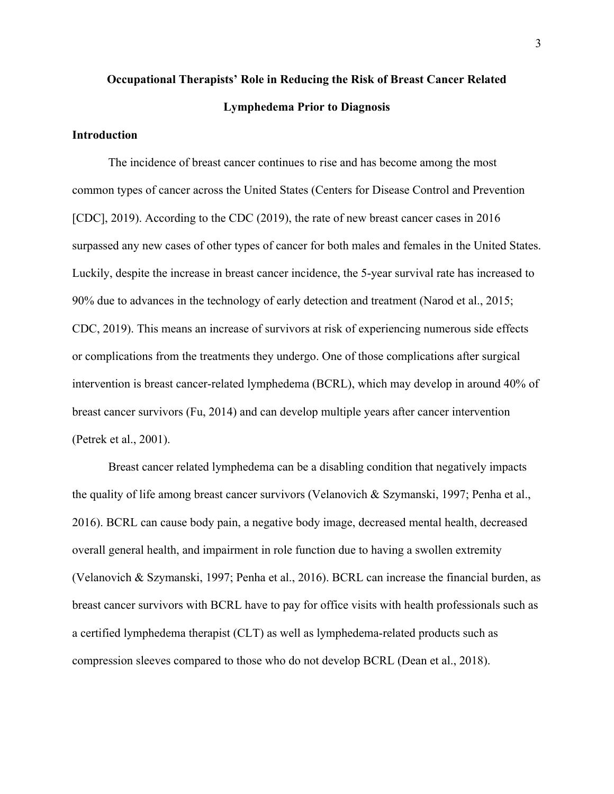# **Occupational Therapists' Role in Reducing the Risk of Breast Cancer Related Lymphedema Prior to Diagnosis**

#### **Introduction**

The incidence of breast cancer continues to rise and has become among the most common types of cancer across the United States (Centers for Disease Control and Prevention [CDC], 2019). According to the CDC (2019), the rate of new breast cancer cases in 2016 surpassed any new cases of other types of cancer for both males and females in the United States. Luckily, despite the increase in breast cancer incidence, the 5-year survival rate has increased to 90% due to advances in the technology of early detection and treatment (Narod et al., 2015; CDC, 2019). This means an increase of survivors at risk of experiencing numerous side effects or complications from the treatments they undergo. One of those complications after surgical intervention is breast cancer-related lymphedema (BCRL), which may develop in around 40% of breast cancer survivors (Fu, 2014) and can develop multiple years after cancer intervention (Petrek et al., 2001).

Breast cancer related lymphedema can be a disabling condition that negatively impacts the quality of life among breast cancer survivors (Velanovich & Szymanski, 1997; Penha et al., 2016). BCRL can cause body pain, a negative body image, decreased mental health, decreased overall general health, and impairment in role function due to having a swollen extremity (Velanovich & Szymanski, 1997; Penha et al., 2016). BCRL can increase the financial burden, as breast cancer survivors with BCRL have to pay for office visits with health professionals such as a certified lymphedema therapist (CLT) as well as lymphedema-related products such as compression sleeves compared to those who do not develop BCRL (Dean et al., 2018).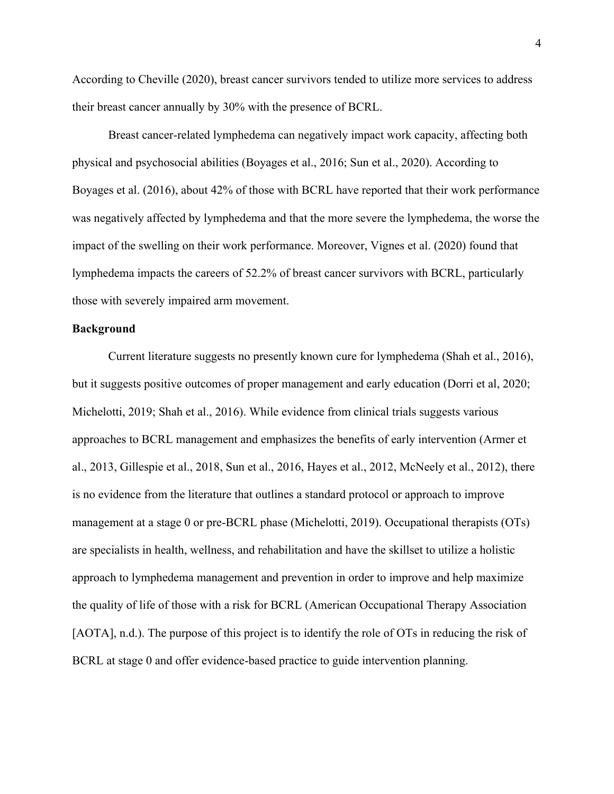According to Cheville (2020), breast cancer survivors tended to utilize more services to address their breast cancer annually by 30% with the presence of BCRL.

Breast cancer-related lymphedema can negatively impact work capacity, affecting both physical and psychosocial abilities (Boyages et al., 2016; Sun et al., 2020). According to Boyages et al. (2016), about 42% of those with BCRL have reported that their work performance was negatively affected by lymphedema and that the more severe the lymphedema, the worse the impact of the swelling on their work performance. Moreover, Vignes et al. (2020) found that lymphedema impacts the careers of 52.2% of breast cancer survivors with BCRL, particularly those with severely impaired arm movement.

#### **Background**

Current literature suggests no presently known cure for lymphedema (Shah et al., 2016), but it suggests positive outcomes of proper management and early education (Dorri et al, 2020; Michelotti, 2019; Shah et al., 2016). While evidence from clinical trials suggests various approaches to BCRL management and emphasizes the benefits of early intervention (Armer et al., 2013, Gillespie et al., 2018, Sun et al., 2016, Hayes et al., 2012, McNeely et al., 2012), there is no evidence from the literature that outlines a standard protocol or approach to improve management at a stage 0 or pre-BCRL phase (Michelotti, 2019). Occupational therapists (OTs) are specialists in health, wellness, and rehabilitation and have the skillset to utilize a holistic approach to lymphedema management and prevention in order to improve and help maximize the quality of life of those with a risk for BCRL (American Occupational Therapy Association [AOTA], n.d.). The purpose of this project is to identify the role of OTs in reducing the risk of BCRL at stage 0 and offer evidence-based practice to guide intervention planning.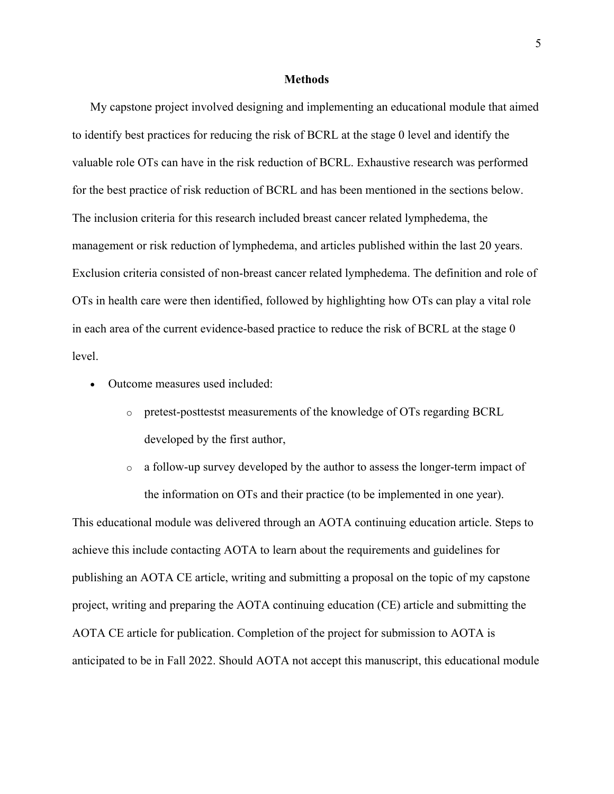#### **Methods**

My capstone project involved designing and implementing an educational module that aimed to identify best practices for reducing the risk of BCRL at the stage 0 level and identify the valuable role OTs can have in the risk reduction of BCRL. Exhaustive research was performed for the best practice of risk reduction of BCRL and has been mentioned in the sections below. The inclusion criteria for this research included breast cancer related lymphedema, the management or risk reduction of lymphedema, and articles published within the last 20 years. Exclusion criteria consisted of non-breast cancer related lymphedema. The definition and role of OTs in health care were then identified, followed by highlighting how OTs can play a vital role in each area of the current evidence-based practice to reduce the risk of BCRL at the stage 0 level.

- Outcome measures used included:
	- o pretest-posttestst measurements of the knowledge of OTs regarding BCRL developed by the first author,
	- o a follow-up survey developed by the author to assess the longer-term impact of the information on OTs and their practice (to be implemented in one year).

This educational module was delivered through an AOTA continuing education article. Steps to achieve this include contacting AOTA to learn about the requirements and guidelines for publishing an AOTA CE article, writing and submitting a proposal on the topic of my capstone project, writing and preparing the AOTA continuing education (CE) article and submitting the AOTA CE article for publication. Completion of the project for submission to AOTA is anticipated to be in Fall 2022. Should AOTA not accept this manuscript, this educational module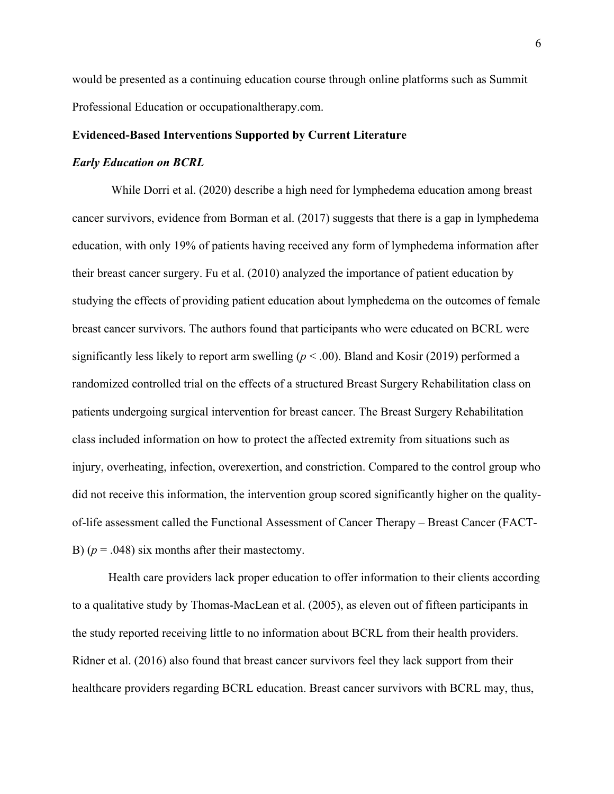would be presented as a continuing education course through online platforms such as Summit Professional Education or occupationaltherapy.com.

### **Evidenced-Based Interventions Supported by Current Literature**

#### *Early Education on BCRL*

While Dorri et al. (2020) describe a high need for lymphedema education among breast cancer survivors, evidence from Borman et al. (2017) suggests that there is a gap in lymphedema education, with only 19% of patients having received any form of lymphedema information after their breast cancer surgery. Fu et al. (2010) analyzed the importance of patient education by studying the effects of providing patient education about lymphedema on the outcomes of female breast cancer survivors. The authors found that participants who were educated on BCRL were significantly less likely to report arm swelling (*p* < .00). Bland and Kosir (2019) performed a randomized controlled trial on the effects of a structured Breast Surgery Rehabilitation class on patients undergoing surgical intervention for breast cancer. The Breast Surgery Rehabilitation class included information on how to protect the affected extremity from situations such as injury, overheating, infection, overexertion, and constriction. Compared to the control group who did not receive this information, the intervention group scored significantly higher on the qualityof-life assessment called the Functional Assessment of Cancer Therapy – Breast Cancer (FACT-B)  $(p = .048)$  six months after their mastectomy.

Health care providers lack proper education to offer information to their clients according to a qualitative study by Thomas-MacLean et al. (2005), as eleven out of fifteen participants in the study reported receiving little to no information about BCRL from their health providers. Ridner et al. (2016) also found that breast cancer survivors feel they lack support from their healthcare providers regarding BCRL education. Breast cancer survivors with BCRL may, thus,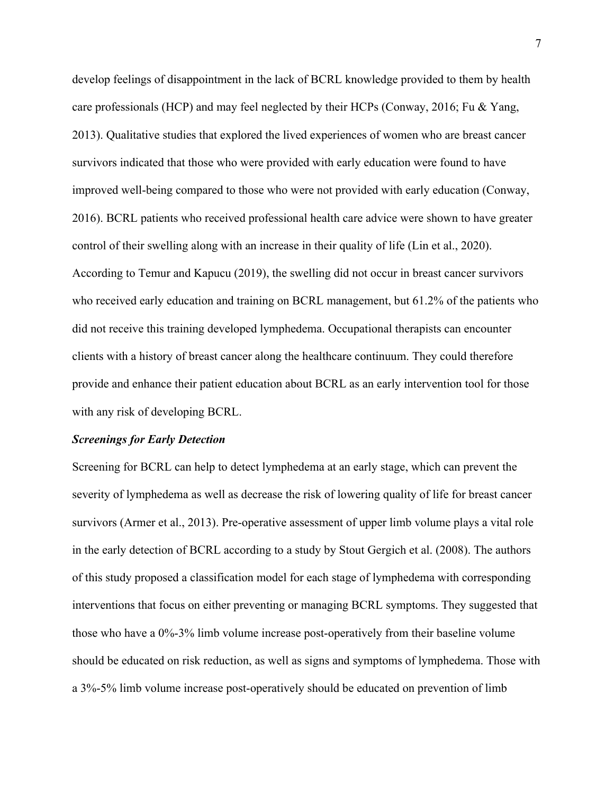develop feelings of disappointment in the lack of BCRL knowledge provided to them by health care professionals (HCP) and may feel neglected by their HCPs (Conway, 2016; Fu & Yang, 2013). Qualitative studies that explored the lived experiences of women who are breast cancer survivors indicated that those who were provided with early education were found to have improved well-being compared to those who were not provided with early education (Conway, 2016). BCRL patients who received professional health care advice were shown to have greater control of their swelling along with an increase in their quality of life (Lin et al., 2020). According to Temur and Kapucu (2019), the swelling did not occur in breast cancer survivors who received early education and training on BCRL management, but 61.2% of the patients who did not receive this training developed lymphedema. Occupational therapists can encounter clients with a history of breast cancer along the healthcare continuum. They could therefore provide and enhance their patient education about BCRL as an early intervention tool for those with any risk of developing BCRL.

#### *Screenings for Early Detection*

Screening for BCRL can help to detect lymphedema at an early stage, which can prevent the severity of lymphedema as well as decrease the risk of lowering quality of life for breast cancer survivors (Armer et al., 2013). Pre-operative assessment of upper limb volume plays a vital role in the early detection of BCRL according to a study by Stout Gergich et al. (2008). The authors of this study proposed a classification model for each stage of lymphedema with corresponding interventions that focus on either preventing or managing BCRL symptoms. They suggested that those who have a 0%-3% limb volume increase post-operatively from their baseline volume should be educated on risk reduction, as well as signs and symptoms of lymphedema. Those with a 3%-5% limb volume increase post-operatively should be educated on prevention of limb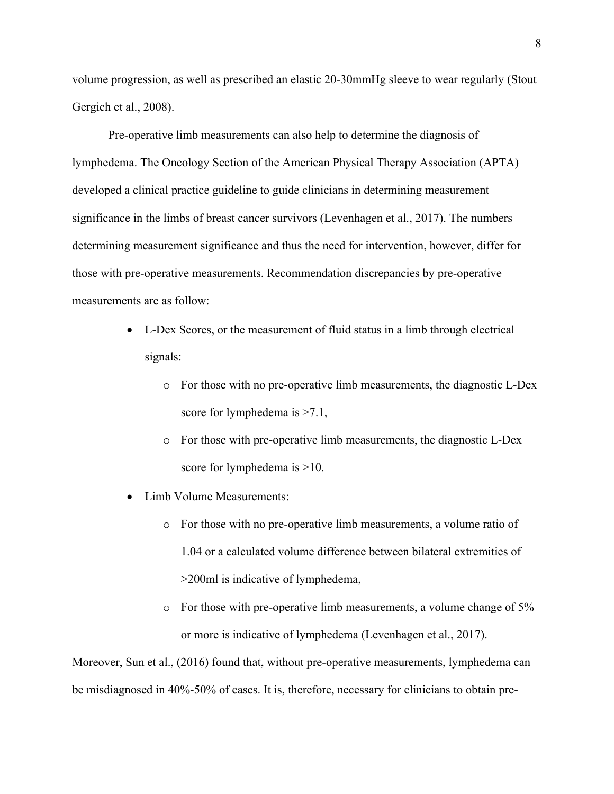volume progression, as well as prescribed an elastic 20-30mmHg sleeve to wear regularly (Stout Gergich et al., 2008).

Pre-operative limb measurements can also help to determine the diagnosis of lymphedema. The Oncology Section of the American Physical Therapy Association (APTA) developed a clinical practice guideline to guide clinicians in determining measurement significance in the limbs of breast cancer survivors (Levenhagen et al., 2017). The numbers determining measurement significance and thus the need for intervention, however, differ for those with pre-operative measurements. Recommendation discrepancies by pre-operative measurements are as follow:

- L-Dex Scores, or the measurement of fluid status in a limb through electrical signals:
	- o For those with no pre-operative limb measurements, the diagnostic L-Dex score for lymphedema is  $>7.1$ ,
	- o For those with pre-operative limb measurements, the diagnostic L-Dex score for lymphedema is  $>10$ .
- Limb Volume Measurements:
	- o For those with no pre-operative limb measurements, a volume ratio of 1.04 or a calculated volume difference between bilateral extremities of >200ml is indicative of lymphedema,
	- o For those with pre-operative limb measurements, a volume change of 5% or more is indicative of lymphedema (Levenhagen et al., 2017).

Moreover, Sun et al., (2016) found that, without pre-operative measurements, lymphedema can be misdiagnosed in 40%-50% of cases. It is, therefore, necessary for clinicians to obtain pre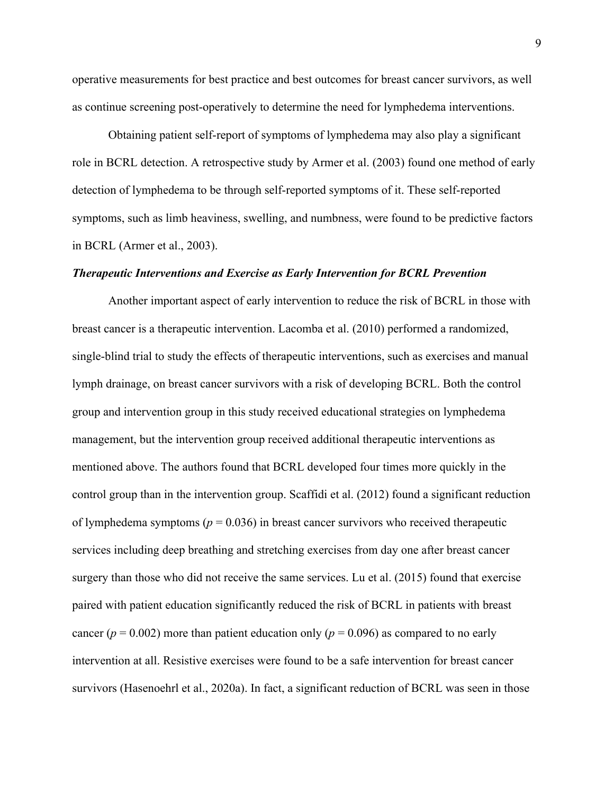operative measurements for best practice and best outcomes for breast cancer survivors, as well as continue screening post-operatively to determine the need for lymphedema interventions.

Obtaining patient self-report of symptoms of lymphedema may also play a significant role in BCRL detection. A retrospective study by Armer et al. (2003) found one method of early detection of lymphedema to be through self-reported symptoms of it. These self-reported symptoms, such as limb heaviness, swelling, and numbness, were found to be predictive factors in BCRL (Armer et al., 2003).

#### *Therapeutic Interventions and Exercise as Early Intervention for BCRL Prevention*

Another important aspect of early intervention to reduce the risk of BCRL in those with breast cancer is a therapeutic intervention. Lacomba et al. (2010) performed a randomized, single-blind trial to study the effects of therapeutic interventions, such as exercises and manual lymph drainage, on breast cancer survivors with a risk of developing BCRL. Both the control group and intervention group in this study received educational strategies on lymphedema management, but the intervention group received additional therapeutic interventions as mentioned above. The authors found that BCRL developed four times more quickly in the control group than in the intervention group. Scaffidi et al. (2012) found a significant reduction of lymphedema symptoms ( $p = 0.036$ ) in breast cancer survivors who received therapeutic services including deep breathing and stretching exercises from day one after breast cancer surgery than those who did not receive the same services. Lu et al. (2015) found that exercise paired with patient education significantly reduced the risk of BCRL in patients with breast cancer ( $p = 0.002$ ) more than patient education only ( $p = 0.096$ ) as compared to no early intervention at all. Resistive exercises were found to be a safe intervention for breast cancer survivors (Hasenoehrl et al., 2020a). In fact, a significant reduction of BCRL was seen in those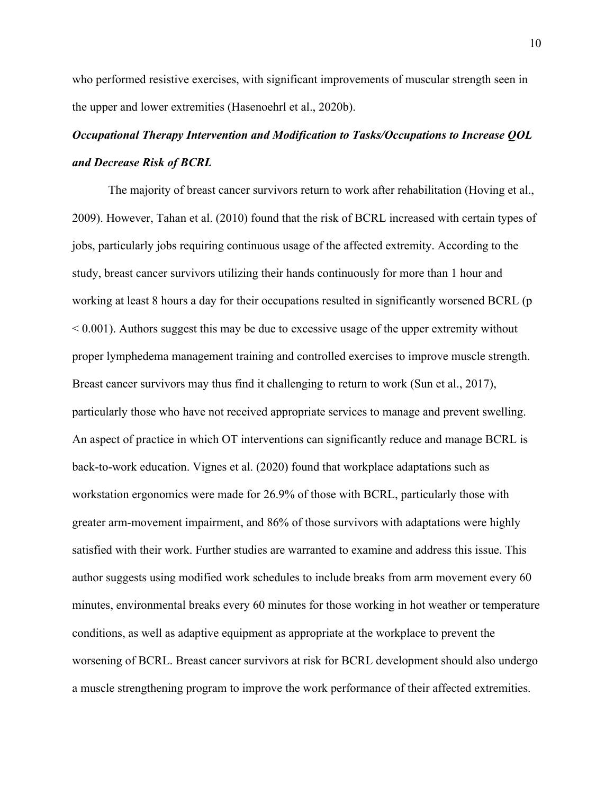who performed resistive exercises, with significant improvements of muscular strength seen in the upper and lower extremities (Hasenoehrl et al., 2020b).

# *Occupational Therapy Intervention and Modification to Tasks/Occupations to Increase QOL and Decrease Risk of BCRL*

The majority of breast cancer survivors return to work after rehabilitation (Hoving et al., 2009). However, Tahan et al. (2010) found that the risk of BCRL increased with certain types of jobs, particularly jobs requiring continuous usage of the affected extremity. According to the study, breast cancer survivors utilizing their hands continuously for more than 1 hour and working at least 8 hours a day for their occupations resulted in significantly worsened BCRL (p  $< 0.001$ ). Authors suggest this may be due to excessive usage of the upper extremity without proper lymphedema management training and controlled exercises to improve muscle strength. Breast cancer survivors may thus find it challenging to return to work (Sun et al., 2017), particularly those who have not received appropriate services to manage and prevent swelling. An aspect of practice in which OT interventions can significantly reduce and manage BCRL is back-to-work education. Vignes et al. (2020) found that workplace adaptations such as workstation ergonomics were made for 26.9% of those with BCRL, particularly those with greater arm-movement impairment, and 86% of those survivors with adaptations were highly satisfied with their work. Further studies are warranted to examine and address this issue. This author suggests using modified work schedules to include breaks from arm movement every 60 minutes, environmental breaks every 60 minutes for those working in hot weather or temperature conditions, as well as adaptive equipment as appropriate at the workplace to prevent the worsening of BCRL. Breast cancer survivors at risk for BCRL development should also undergo a muscle strengthening program to improve the work performance of their affected extremities.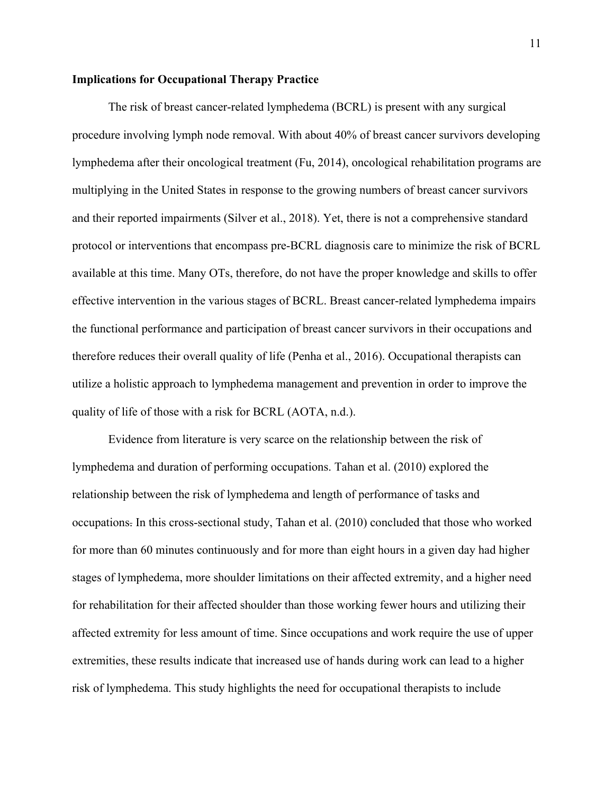### **Implications for Occupational Therapy Practice**

The risk of breast cancer-related lymphedema (BCRL) is present with any surgical procedure involving lymph node removal. With about 40% of breast cancer survivors developing lymphedema after their oncological treatment (Fu, 2014), oncological rehabilitation programs are multiplying in the United States in response to the growing numbers of breast cancer survivors and their reported impairments (Silver et al., 2018). Yet, there is not a comprehensive standard protocol or interventions that encompass pre-BCRL diagnosis care to minimize the risk of BCRL available at this time. Many OTs, therefore, do not have the proper knowledge and skills to offer effective intervention in the various stages of BCRL. Breast cancer-related lymphedema impairs the functional performance and participation of breast cancer survivors in their occupations and therefore reduces their overall quality of life (Penha et al., 2016). Occupational therapists can utilize a holistic approach to lymphedema management and prevention in order to improve the quality of life of those with a risk for BCRL (AOTA, n.d.).

Evidence from literature is very scarce on the relationship between the risk of lymphedema and duration of performing occupations. Tahan et al. (2010) explored the relationship between the risk of lymphedema and length of performance of tasks and occupations. In this cross-sectional study, Tahan et al. (2010) concluded that those who worked for more than 60 minutes continuously and for more than eight hours in a given day had higher stages of lymphedema, more shoulder limitations on their affected extremity, and a higher need for rehabilitation for their affected shoulder than those working fewer hours and utilizing their affected extremity for less amount of time. Since occupations and work require the use of upper extremities, these results indicate that increased use of hands during work can lead to a higher risk of lymphedema. This study highlights the need for occupational therapists to include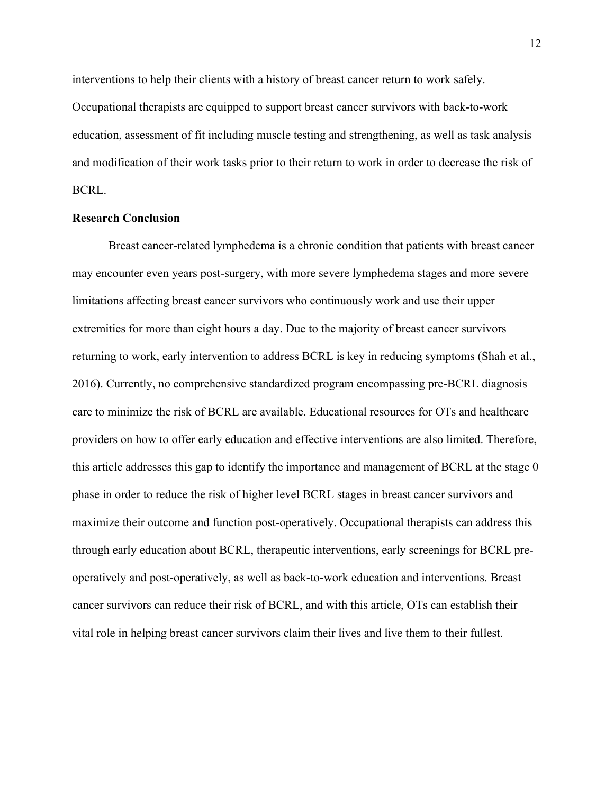interventions to help their clients with a history of breast cancer return to work safely. Occupational therapists are equipped to support breast cancer survivors with back-to-work education, assessment of fit including muscle testing and strengthening, as well as task analysis and modification of their work tasks prior to their return to work in order to decrease the risk of BCRL.

#### **Research Conclusion**

Breast cancer-related lymphedema is a chronic condition that patients with breast cancer may encounter even years post-surgery, with more severe lymphedema stages and more severe limitations affecting breast cancer survivors who continuously work and use their upper extremities for more than eight hours a day. Due to the majority of breast cancer survivors returning to work, early intervention to address BCRL is key in reducing symptoms (Shah et al., 2016). Currently, no comprehensive standardized program encompassing pre-BCRL diagnosis care to minimize the risk of BCRL are available. Educational resources for OTs and healthcare providers on how to offer early education and effective interventions are also limited. Therefore, this article addresses this gap to identify the importance and management of BCRL at the stage 0 phase in order to reduce the risk of higher level BCRL stages in breast cancer survivors and maximize their outcome and function post-operatively. Occupational therapists can address this through early education about BCRL, therapeutic interventions, early screenings for BCRL preoperatively and post-operatively, as well as back-to-work education and interventions. Breast cancer survivors can reduce their risk of BCRL, and with this article, OTs can establish their vital role in helping breast cancer survivors claim their lives and live them to their fullest.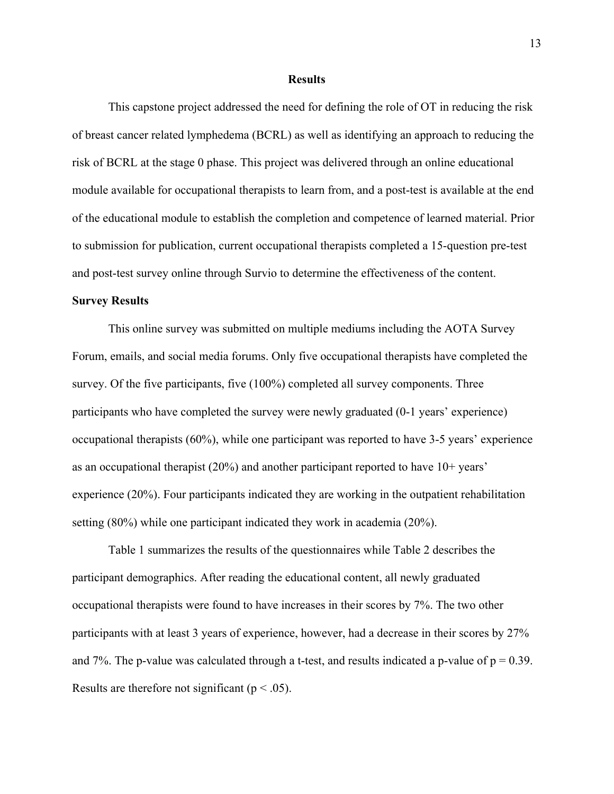#### **Results**

 This capstone project addressed the need for defining the role of OT in reducing the risk of breast cancer related lymphedema (BCRL) as well as identifying an approach to reducing the risk of BCRL at the stage 0 phase. This project was delivered through an online educational module available for occupational therapists to learn from, and a post-test is available at the end of the educational module to establish the completion and competence of learned material. Prior to submission for publication, current occupational therapists completed a 15-question pre-test and post-test survey online through Survio to determine the effectiveness of the content.

#### **Survey Results**

This online survey was submitted on multiple mediums including the AOTA Survey Forum, emails, and social media forums. Only five occupational therapists have completed the survey. Of the five participants, five (100%) completed all survey components. Three participants who have completed the survey were newly graduated (0-1 years' experience) occupational therapists (60%), while one participant was reported to have 3-5 years' experience as an occupational therapist (20%) and another participant reported to have 10+ years' experience (20%). Four participants indicated they are working in the outpatient rehabilitation setting (80%) while one participant indicated they work in academia (20%).

 Table 1 summarizes the results of the questionnaires while Table 2 describes the participant demographics. After reading the educational content, all newly graduated occupational therapists were found to have increases in their scores by 7%. The two other participants with at least 3 years of experience, however, had a decrease in their scores by 27% and 7%. The p-value was calculated through a t-test, and results indicated a p-value of  $p = 0.39$ . Results are therefore not significant ( $p < .05$ ).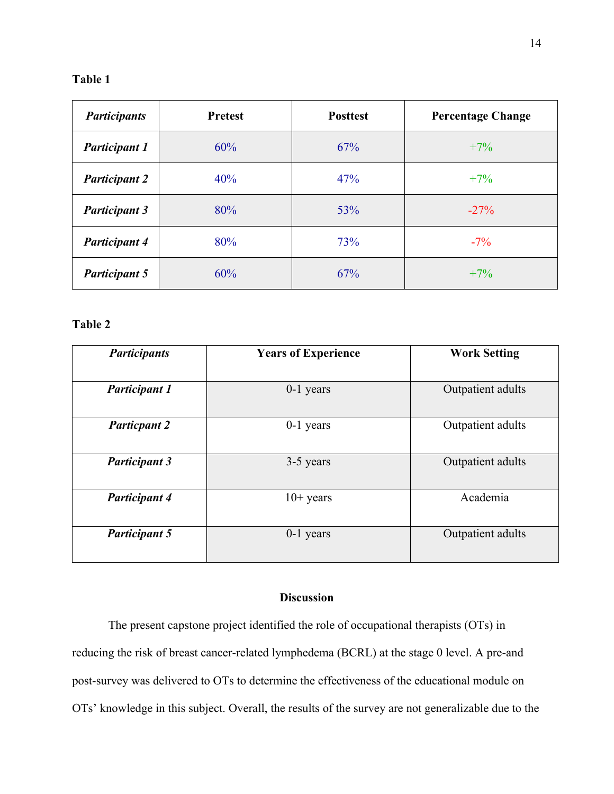## **Table 1**

| <b>Participants</b>  | <b>Pretest</b> | <b>Posttest</b> | <b>Percentage Change</b> |
|----------------------|----------------|-----------------|--------------------------|
| <b>Participant 1</b> | 60%            | 67%             | $+7%$                    |
| <b>Participant 2</b> | 40%            | 47%             | $+7\%$                   |
| <b>Participant 3</b> | 80%            | 53%             | $-27%$                   |
| <b>Participant 4</b> | 80%            | 73%             | $-7\%$                   |
| <b>Participant 5</b> | 60%            | 67%             | $+7\%$                   |

### **Table 2**

| <b>Participants</b>  | <b>Years of Experience</b> | <b>Work Setting</b> |
|----------------------|----------------------------|---------------------|
|                      |                            |                     |
| <b>Participant 1</b> | $0-1$ years                | Outpatient adults   |
|                      |                            |                     |
| <b>Particpant 2</b>  | $0-1$ years                | Outpatient adults   |
|                      |                            |                     |
| <b>Participant 3</b> | 3-5 years                  | Outpatient adults   |
|                      |                            |                     |
| <b>Participant 4</b> | $10+$ years                | Academia            |
|                      |                            |                     |
| <b>Participant 5</b> | $0-1$ years                | Outpatient adults   |
|                      |                            |                     |

## **Discussion**

 The present capstone project identified the role of occupational therapists (OTs) in reducing the risk of breast cancer-related lymphedema (BCRL) at the stage 0 level. A pre-and post-survey was delivered to OTs to determine the effectiveness of the educational module on OTs' knowledge in this subject. Overall, the results of the survey are not generalizable due to the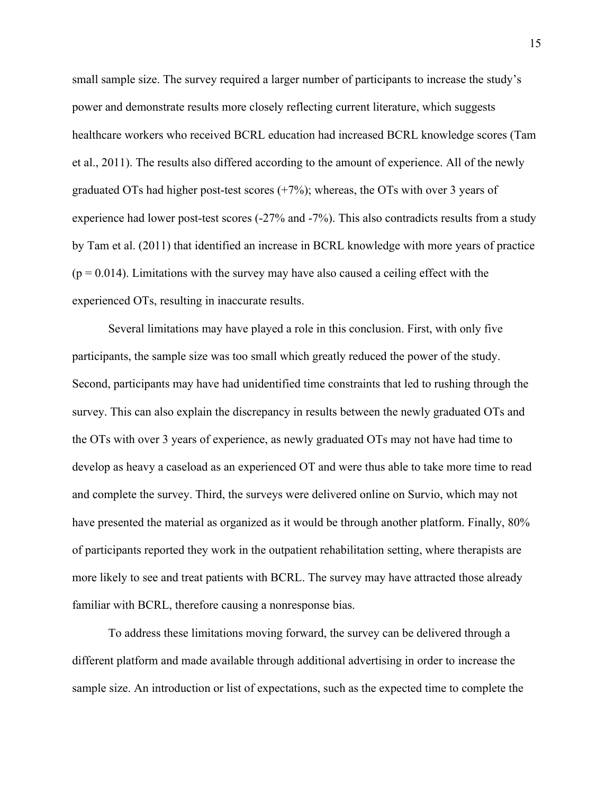small sample size. The survey required a larger number of participants to increase the study's power and demonstrate results more closely reflecting current literature, which suggests healthcare workers who received BCRL education had increased BCRL knowledge scores (Tam et al., 2011). The results also differed according to the amount of experience. All of the newly graduated OTs had higher post-test scores  $(+7%)$ ; whereas, the OTs with over 3 years of experience had lower post-test scores (-27% and -7%). This also contradicts results from a study by Tam et al. (2011) that identified an increase in BCRL knowledge with more years of practice  $(p = 0.014)$ . Limitations with the survey may have also caused a ceiling effect with the experienced OTs, resulting in inaccurate results.

Several limitations may have played a role in this conclusion. First, with only five participants, the sample size was too small which greatly reduced the power of the study. Second, participants may have had unidentified time constraints that led to rushing through the survey. This can also explain the discrepancy in results between the newly graduated OTs and the OTs with over 3 years of experience, as newly graduated OTs may not have had time to develop as heavy a caseload as an experienced OT and were thus able to take more time to read and complete the survey. Third, the surveys were delivered online on Survio, which may not have presented the material as organized as it would be through another platform. Finally, 80% of participants reported they work in the outpatient rehabilitation setting, where therapists are more likely to see and treat patients with BCRL. The survey may have attracted those already familiar with BCRL, therefore causing a nonresponse bias.

To address these limitations moving forward, the survey can be delivered through a different platform and made available through additional advertising in order to increase the sample size. An introduction or list of expectations, such as the expected time to complete the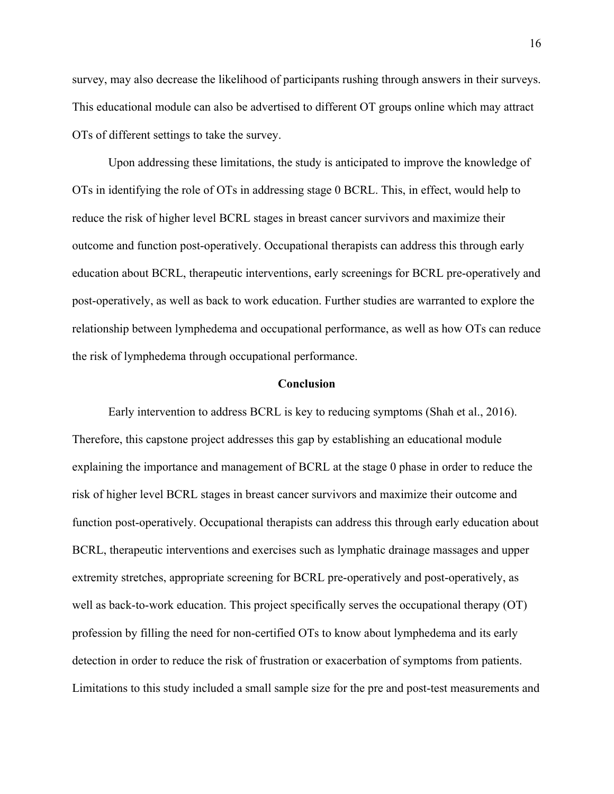survey, may also decrease the likelihood of participants rushing through answers in their surveys. This educational module can also be advertised to different OT groups online which may attract OTs of different settings to take the survey.

Upon addressing these limitations, the study is anticipated to improve the knowledge of OTs in identifying the role of OTs in addressing stage 0 BCRL. This, in effect, would help to reduce the risk of higher level BCRL stages in breast cancer survivors and maximize their outcome and function post-operatively. Occupational therapists can address this through early education about BCRL, therapeutic interventions, early screenings for BCRL pre-operatively and post-operatively, as well as back to work education. Further studies are warranted to explore the relationship between lymphedema and occupational performance, as well as how OTs can reduce the risk of lymphedema through occupational performance.

#### **Conclusion**

Early intervention to address BCRL is key to reducing symptoms (Shah et al., 2016). Therefore, this capstone project addresses this gap by establishing an educational module explaining the importance and management of BCRL at the stage 0 phase in order to reduce the risk of higher level BCRL stages in breast cancer survivors and maximize their outcome and function post-operatively. Occupational therapists can address this through early education about BCRL, therapeutic interventions and exercises such as lymphatic drainage massages and upper extremity stretches, appropriate screening for BCRL pre-operatively and post-operatively, as well as back-to-work education. This project specifically serves the occupational therapy (OT) profession by filling the need for non-certified OTs to know about lymphedema and its early detection in order to reduce the risk of frustration or exacerbation of symptoms from patients. Limitations to this study included a small sample size for the pre and post-test measurements and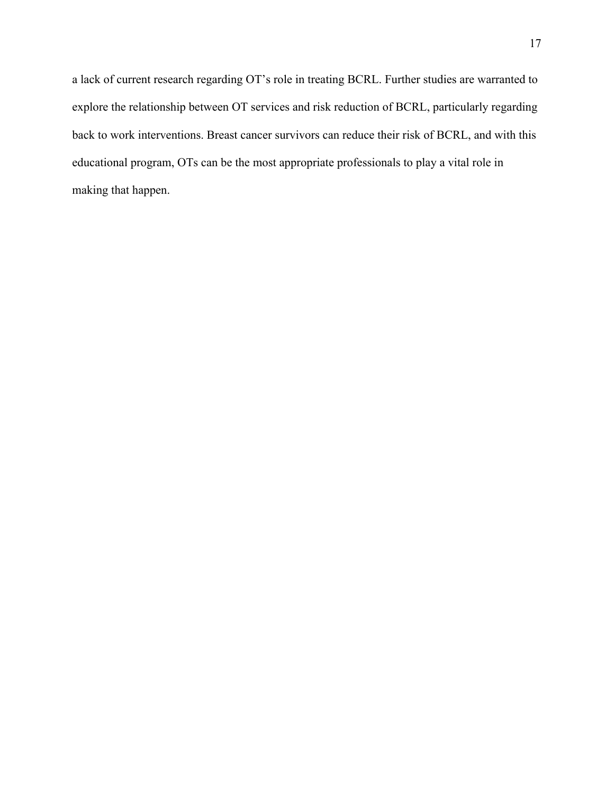a lack of current research regarding OT's role in treating BCRL. Further studies are warranted to explore the relationship between OT services and risk reduction of BCRL, particularly regarding back to work interventions. Breast cancer survivors can reduce their risk of BCRL, and with this educational program, OTs can be the most appropriate professionals to play a vital role in making that happen.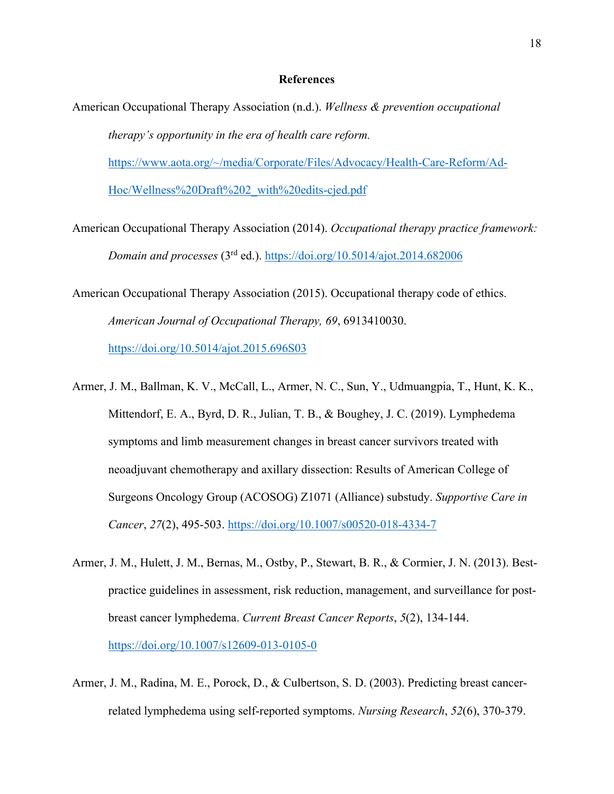#### **References**

- American Occupational Therapy Association (n.d.). *Wellness & prevention occupational therapy's opportunity in the era of health care reform.* https://www.aota.org/~/media/Corporate/Files/Advocacy/Health-Care-Reform/Ad-Hoc/Wellness%20Draft%202\_with%20edits-cjed.pdf
- American Occupational Therapy Association (2014). *Occupational therapy practice framework: Domain and processes* (3rd ed.). https://doi.org/10.5014/ajot.2014.682006
- American Occupational Therapy Association (2015). Occupational therapy code of ethics. *American Journal of Occupational Therapy, 69*, 6913410030. https://doi.org/10.5014/ajot.2015.696S03
- Armer, J. M., Ballman, K. V., McCall, L., Armer, N. C., Sun, Y., Udmuangpia, T., Hunt, K. K., Mittendorf, E. A., Byrd, D. R., Julian, T. B., & Boughey, J. C. (2019). Lymphedema symptoms and limb measurement changes in breast cancer survivors treated with neoadjuvant chemotherapy and axillary dissection: Results of American College of Surgeons Oncology Group (ACOSOG) Z1071 (Alliance) substudy. *Supportive Care in Cancer*, *27*(2), 495-503. https://doi.org/10.1007/s00520-018-4334-7
- Armer, J. M., Hulett, J. M., Bernas, M., Ostby, P., Stewart, B. R., & Cormier, J. N. (2013). Bestpractice guidelines in assessment, risk reduction, management, and surveillance for postbreast cancer lymphedema. *Current Breast Cancer Reports*, *5*(2), 134-144. https://doi.org/10.1007/s12609-013-0105-0
- Armer, J. M., Radina, M. E., Porock, D., & Culbertson, S. D. (2003). Predicting breast cancerrelated lymphedema using self-reported symptoms. *Nursing Research*, *52*(6), 370-379.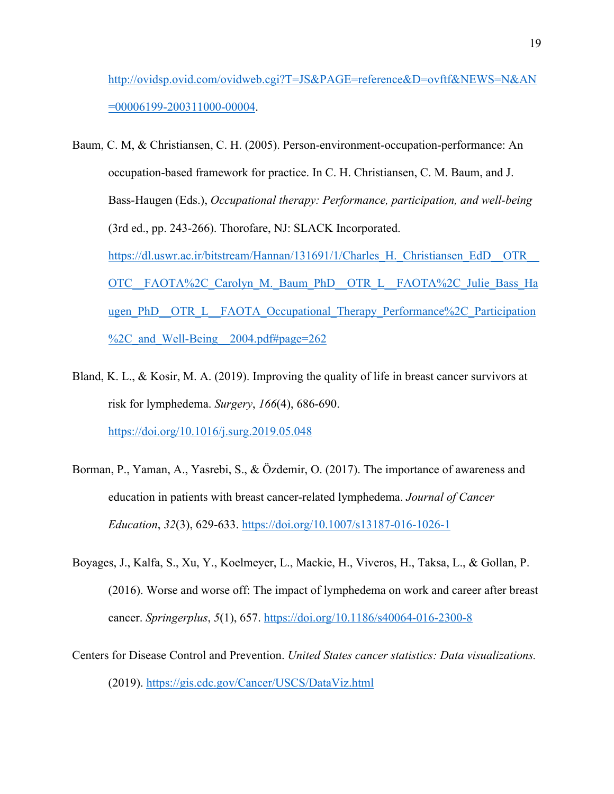http://ovidsp.ovid.com/ovidweb.cgi?T=JS&PAGE=reference&D=ovftf&NEWS=N&AN =00006199-200311000-00004.

- Baum, C. M, & Christiansen, C. H. (2005). Person-environment-occupation-performance: An occupation-based framework for practice. In C. H. Christiansen, C. M. Baum, and J. Bass-Haugen (Eds.), *Occupational therapy: Performance, participation, and well-being* (3rd ed., pp. 243-266). Thorofare, NJ: SLACK Incorporated. https://dl.uswr.ac.ir/bitstream/Hannan/131691/1/Charles\_H.\_Christiansen\_EdD\_\_OTR\_\_ OTC FAOTA%2C Carolyn M. Baum PhD OTR L FAOTA%2C Julie Bass Ha ugen\_PhD\_OTR\_L\_FAOTA\_Occupational\_Therapy\_Performance%2C\_Participation %2C and Well-Being 2004.pdf#page=262
- Bland, K. L., & Kosir, M. A. (2019). Improving the quality of life in breast cancer survivors at risk for lymphedema. *Surgery*, *166*(4), 686-690. https://doi.org/10.1016/j.surg.2019.05.048
- Borman, P., Yaman, A., Yasrebi, S., & Özdemir, O. (2017). The importance of awareness and education in patients with breast cancer-related lymphedema. *Journal of Cancer Education*, *32*(3), 629-633. https://doi.org/10.1007/s13187-016-1026-1
- Boyages, J., Kalfa, S., Xu, Y., Koelmeyer, L., Mackie, H., Viveros, H., Taksa, L., & Gollan, P. (2016). Worse and worse off: The impact of lymphedema on work and career after breast cancer. *Springerplus*, *5*(1), 657. https://doi.org/10.1186/s40064-016-2300-8
- Centers for Disease Control and Prevention. *United States cancer statistics: Data visualizations.* (2019). https://gis.cdc.gov/Cancer/USCS/DataViz.html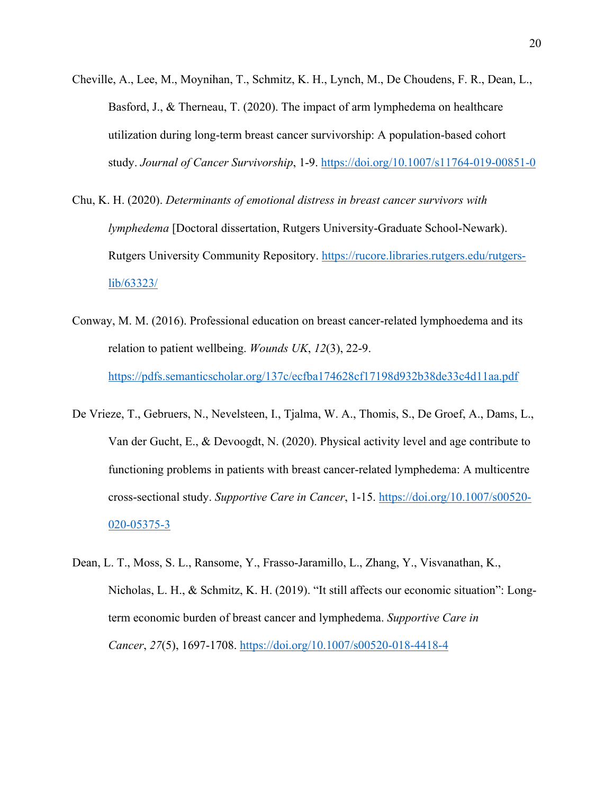- Cheville, A., Lee, M., Moynihan, T., Schmitz, K. H., Lynch, M., De Choudens, F. R., Dean, L., Basford, J., & Therneau, T. (2020). The impact of arm lymphedema on healthcare utilization during long-term breast cancer survivorship: A population-based cohort study. *Journal of Cancer Survivorship*, 1-9. https://doi.org/10.1007/s11764-019-00851-0
- Chu, K. H. (2020). *Determinants of emotional distress in breast cancer survivors with lymphedema* [Doctoral dissertation, Rutgers University-Graduate School-Newark). Rutgers University Community Repository. https://rucore.libraries.rutgers.edu/rutgerslib/63323/
- Conway, M. M. (2016). Professional education on breast cancer-related lymphoedema and its relation to patient wellbeing. *Wounds UK*, *12*(3), 22-9. https://pdfs.semanticscholar.org/137c/ecfba174628cf17198d932b38de33c4d11aa.pdf
- De Vrieze, T., Gebruers, N., Nevelsteen, I., Tjalma, W. A., Thomis, S., De Groef, A., Dams, L., Van der Gucht, E., & Devoogdt, N. (2020). Physical activity level and age contribute to functioning problems in patients with breast cancer-related lymphedema: A multicentre cross-sectional study. *Supportive Care in Cancer*, 1-15. https://doi.org/10.1007/s00520- 020-05375-3
- Dean, L. T., Moss, S. L., Ransome, Y., Frasso-Jaramillo, L., Zhang, Y., Visvanathan, K., Nicholas, L. H., & Schmitz, K. H. (2019). "It still affects our economic situation": Longterm economic burden of breast cancer and lymphedema. *Supportive Care in Cancer*, *27*(5), 1697-1708. https://doi.org/10.1007/s00520-018-4418-4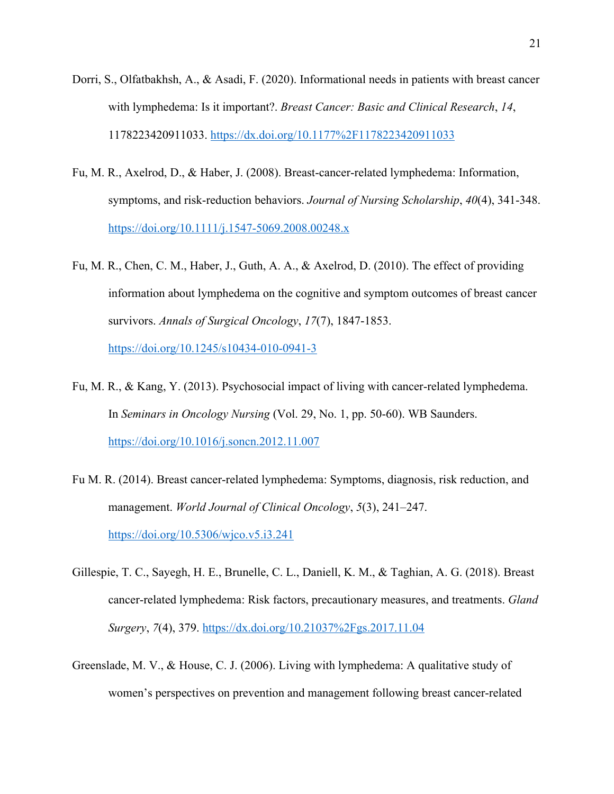- Dorri, S., Olfatbakhsh, A., & Asadi, F. (2020). Informational needs in patients with breast cancer with lymphedema: Is it important?. *Breast Cancer: Basic and Clinical Research*, *14*, 1178223420911033. https://dx.doi.org/10.1177%2F1178223420911033
- Fu, M. R., Axelrod, D., & Haber, J. (2008). Breast‐cancer‐related lymphedema: Information, symptoms, and risk‐reduction behaviors. *Journal of Nursing Scholarship*, *40*(4), 341-348. https://doi.org/10.1111/j.1547-5069.2008.00248.x
- Fu, M. R., Chen, C. M., Haber, J., Guth, A. A., & Axelrod, D. (2010). The effect of providing information about lymphedema on the cognitive and symptom outcomes of breast cancer survivors. *Annals of Surgical Oncology*, *17*(7), 1847-1853.

https://doi.org/10.1245/s10434-010-0941-3

- Fu, M. R., & Kang, Y. (2013). Psychosocial impact of living with cancer-related lymphedema. In *Seminars in Oncology Nursing* (Vol. 29, No. 1, pp. 50-60). WB Saunders. https://doi.org/10.1016/j.soncn.2012.11.007
- Fu M. R. (2014). Breast cancer-related lymphedema: Symptoms, diagnosis, risk reduction, and management. *World Journal of Clinical Oncology*, *5*(3), 241–247. https://doi.org/10.5306/wjco.v5.i3.241
- Gillespie, T. C., Sayegh, H. E., Brunelle, C. L., Daniell, K. M., & Taghian, A. G. (2018). Breast cancer-related lymphedema: Risk factors, precautionary measures, and treatments. *Gland Surgery*, *7*(4), 379. https://dx.doi.org/10.21037%2Fgs.2017.11.04
- Greenslade, M. V., & House, C. J. (2006). Living with lymphedema: A qualitative study of women's perspectives on prevention and management following breast cancer-related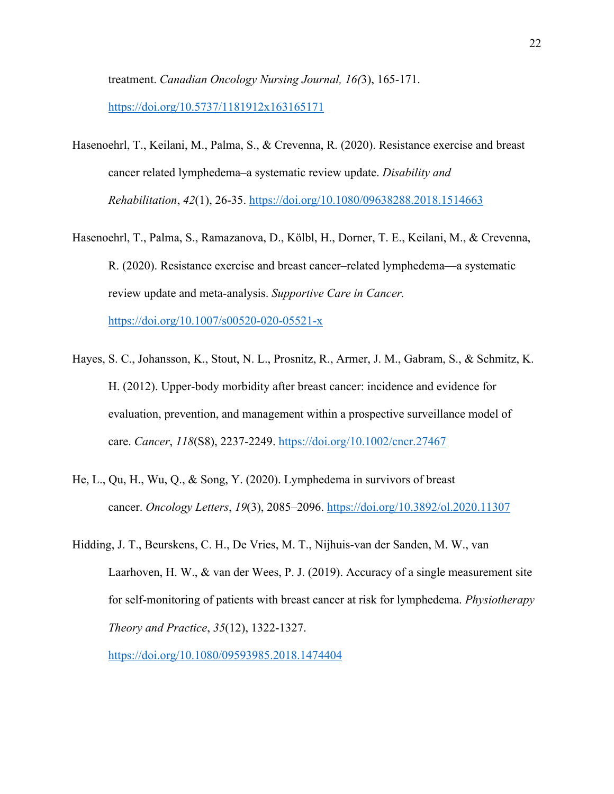treatment. *Canadian Oncology Nursing Journal, 16(*3), 165-171. https://doi.org/10.5737/1181912x163165171

- Hasenoehrl, T., Keilani, M., Palma, S., & Crevenna, R. (2020). Resistance exercise and breast cancer related lymphedema–a systematic review update. *Disability and Rehabilitation*, *42*(1), 26-35. https://doi.org/10.1080/09638288.2018.1514663
- Hasenoehrl, T., Palma, S., Ramazanova, D., Kölbl, H., Dorner, T. E., Keilani, M., & Crevenna, R. (2020). Resistance exercise and breast cancer–related lymphedema—a systematic review update and meta-analysis. *Supportive Care in Cancer.*  https://doi.org/10.1007/s00520-020-05521-x
- Hayes, S. C., Johansson, K., Stout, N. L., Prosnitz, R., Armer, J. M., Gabram, S., & Schmitz, K. H. (2012). Upper‐body morbidity after breast cancer: incidence and evidence for evaluation, prevention, and management within a prospective surveillance model of care. *Cancer*, *118*(S8), 2237-2249. https://doi.org/10.1002/cncr.27467
- He, L., Qu, H., Wu, Q., & Song, Y. (2020). Lymphedema in survivors of breast cancer. *Oncology Letters*, *19*(3), 2085–2096. https://doi.org/10.3892/ol.2020.11307
- Hidding, J. T., Beurskens, C. H., De Vries, M. T., Nijhuis-van der Sanden, M. W., van Laarhoven, H. W., & van der Wees, P. J. (2019). Accuracy of a single measurement site for self-monitoring of patients with breast cancer at risk for lymphedema. *Physiotherapy Theory and Practice*, *35*(12), 1322-1327.

https://doi.org/10.1080/09593985.2018.1474404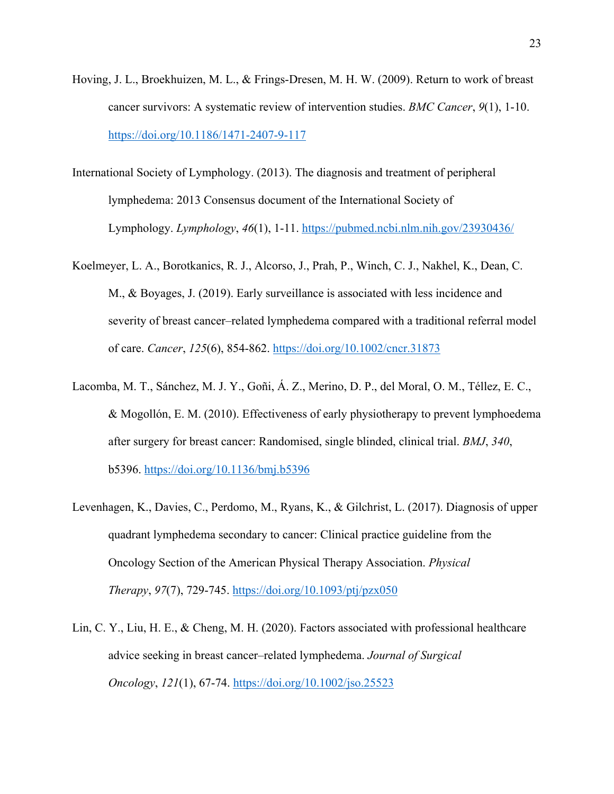- Hoving, J. L., Broekhuizen, M. L., & Frings-Dresen, M. H. W. (2009). Return to work of breast cancer survivors: A systematic review of intervention studies. *BMC Cancer*, *9*(1), 1-10. https://doi.org/10.1186/1471-2407-9-117
- International Society of Lymphology. (2013). The diagnosis and treatment of peripheral lymphedema: 2013 Consensus document of the International Society of Lymphology. *Lymphology*, *46*(1), 1-11. https://pubmed.ncbi.nlm.nih.gov/23930436/
- Koelmeyer, L. A., Borotkanics, R. J., Alcorso, J., Prah, P., Winch, C. J., Nakhel, K., Dean, C. M., & Boyages, J. (2019). Early surveillance is associated with less incidence and severity of breast cancer–related lymphedema compared with a traditional referral model of care. *Cancer*, *125*(6), 854-862. https://doi.org/10.1002/cncr.31873
- Lacomba, M. T., Sánchez, M. J. Y., Goñi, Á. Z., Merino, D. P., del Moral, O. M., Téllez, E. C., & Mogollón, E. M. (2010). Effectiveness of early physiotherapy to prevent lymphoedema after surgery for breast cancer: Randomised, single blinded, clinical trial. *BMJ*, *340*, b5396. https://doi.org/10.1136/bmj.b5396
- Levenhagen, K., Davies, C., Perdomo, M., Ryans, K., & Gilchrist, L. (2017). Diagnosis of upper quadrant lymphedema secondary to cancer: Clinical practice guideline from the Oncology Section of the American Physical Therapy Association. *Physical Therapy*, *97*(7), 729-745. https://doi.org/10.1093/ptj/pzx050
- Lin, C. Y., Liu, H. E., & Cheng, M. H. (2020). Factors associated with professional healthcare advice seeking in breast cancer–related lymphedema. *Journal of Surgical Oncology*, *121*(1), 67-74. https://doi.org/10.1002/jso.25523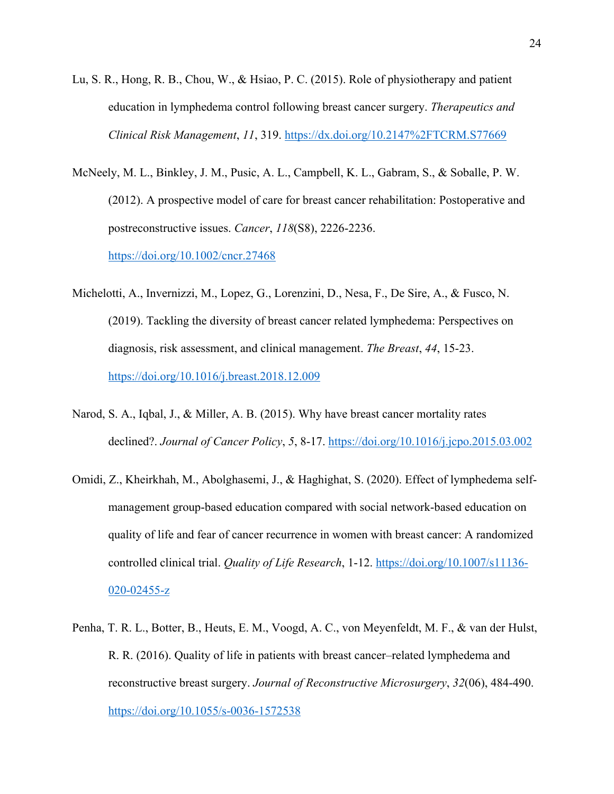- Lu, S. R., Hong, R. B., Chou, W., & Hsiao, P. C. (2015). Role of physiotherapy and patient education in lymphedema control following breast cancer surgery. *Therapeutics and Clinical Risk Management*, *11*, 319. https://dx.doi.org/10.2147%2FTCRM.S77669
- McNeely, M. L., Binkley, J. M., Pusic, A. L., Campbell, K. L., Gabram, S., & Soballe, P. W. (2012). A prospective model of care for breast cancer rehabilitation: Postoperative and postreconstructive issues. *Cancer*, *118*(S8), 2226-2236. https://doi.org/10.1002/cncr.27468
- Michelotti, A., Invernizzi, M., Lopez, G., Lorenzini, D., Nesa, F., De Sire, A., & Fusco, N. (2019). Tackling the diversity of breast cancer related lymphedema: Perspectives on diagnosis, risk assessment, and clinical management. *The Breast*, *44*, 15-23. https://doi.org/10.1016/j.breast.2018.12.009
- Narod, S. A., Iqbal, J., & Miller, A. B. (2015). Why have breast cancer mortality rates declined?. *Journal of Cancer Policy*, *5*, 8-17. https://doi.org/10.1016/j.jcpo.2015.03.002
- Omidi, Z., Kheirkhah, M., Abolghasemi, J., & Haghighat, S. (2020). Effect of lymphedema selfmanagement group-based education compared with social network-based education on quality of life and fear of cancer recurrence in women with breast cancer: A randomized controlled clinical trial. *Quality of Life Research*, 1-12. https://doi.org/10.1007/s11136- 020-02455-z
- Penha, T. R. L., Botter, B., Heuts, E. M., Voogd, A. C., von Meyenfeldt, M. F., & van der Hulst, R. R. (2016). Quality of life in patients with breast cancer–related lymphedema and reconstructive breast surgery. *Journal of Reconstructive Microsurgery*, *32*(06), 484-490. https://doi.org/10.1055/s-0036-1572538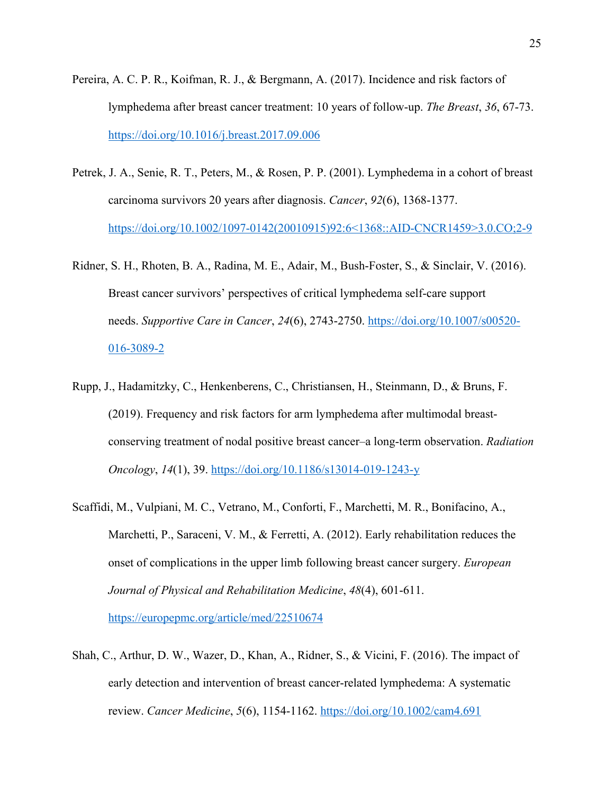- Pereira, A. C. P. R., Koifman, R. J., & Bergmann, A. (2017). Incidence and risk factors of lymphedema after breast cancer treatment: 10 years of follow-up. *The Breast*, *36*, 67-73. https://doi.org/10.1016/j.breast.2017.09.006
- Petrek, J. A., Senie, R. T., Peters, M., & Rosen, P. P. (2001). Lymphedema in a cohort of breast carcinoma survivors 20 years after diagnosis. *Cancer*, *92*(6), 1368-1377. https://doi.org/10.1002/1097-0142(20010915)92:6<1368::AID-CNCR1459>3.0.CO;2-9
- Ridner, S. H., Rhoten, B. A., Radina, M. E., Adair, M., Bush-Foster, S., & Sinclair, V. (2016). Breast cancer survivors' perspectives of critical lymphedema self-care support needs. *Supportive Care in Cancer*, *24*(6), 2743-2750. https://doi.org/10.1007/s00520- 016-3089-2
- Rupp, J., Hadamitzky, C., Henkenberens, C., Christiansen, H., Steinmann, D., & Bruns, F. (2019). Frequency and risk factors for arm lymphedema after multimodal breastconserving treatment of nodal positive breast cancer–a long-term observation. *Radiation Oncology*, *14*(1), 39. https://doi.org/10.1186/s13014-019-1243-y
- Scaffidi, M., Vulpiani, M. C., Vetrano, M., Conforti, F., Marchetti, M. R., Bonifacino, A., Marchetti, P., Saraceni, V. M., & Ferretti, A. (2012). Early rehabilitation reduces the onset of complications in the upper limb following breast cancer surgery. *European Journal of Physical and Rehabilitation Medicine*, *48*(4), 601-611. https://europepmc.org/article/med/22510674
- Shah, C., Arthur, D. W., Wazer, D., Khan, A., Ridner, S., & Vicini, F. (2016). The impact of early detection and intervention of breast cancer-related lymphedema: A systematic review. *Cancer Medicine*, *5*(6), 1154-1162. https://doi.org/10.1002/cam4.691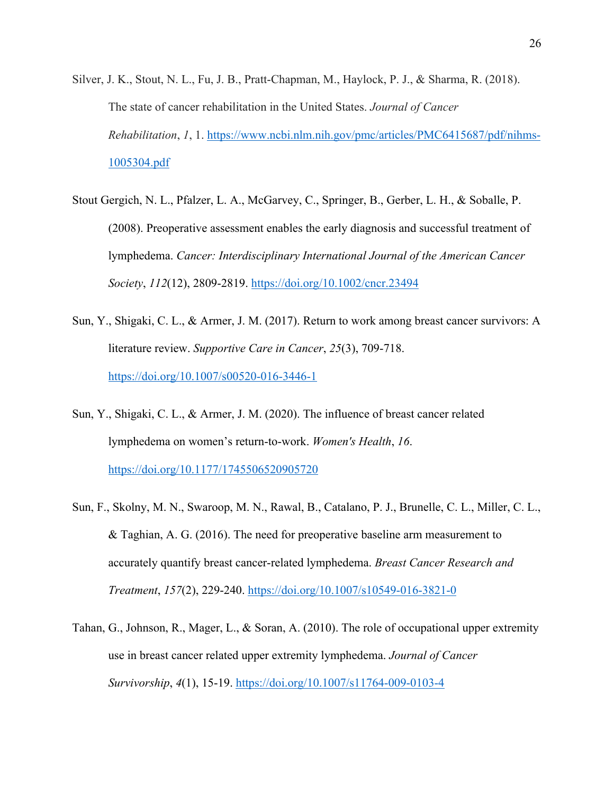- Silver, J. K., Stout, N. L., Fu, J. B., Pratt-Chapman, M., Haylock, P. J., & Sharma, R. (2018). The state of cancer rehabilitation in the United States. *Journal of Cancer Rehabilitation*, *1*, 1. https://www.ncbi.nlm.nih.gov/pmc/articles/PMC6415687/pdf/nihms-1005304.pdf
- Stout Gergich, N. L., Pfalzer, L. A., McGarvey, C., Springer, B., Gerber, L. H., & Soballe, P. (2008). Preoperative assessment enables the early diagnosis and successful treatment of lymphedema. *Cancer: Interdisciplinary International Journal of the American Cancer Society*, *112*(12), 2809-2819. https://doi.org/10.1002/cncr.23494
- Sun, Y., Shigaki, C. L., & Armer, J. M. (2017). Return to work among breast cancer survivors: A literature review. *Supportive Care in Cancer*, *25*(3), 709-718. https://doi.org/10.1007/s00520-016-3446-1
- Sun, Y., Shigaki, C. L., & Armer, J. M. (2020). The influence of breast cancer related lymphedema on women's return-to-work. *Women's Health*, *16*. https://doi.org/10.1177/1745506520905720
- Sun, F., Skolny, M. N., Swaroop, M. N., Rawal, B., Catalano, P. J., Brunelle, C. L., Miller, C. L., & Taghian, A. G. (2016). The need for preoperative baseline arm measurement to accurately quantify breast cancer-related lymphedema. *Breast Cancer Research and Treatment*, *157*(2), 229-240. https://doi.org/10.1007/s10549-016-3821-0
- Tahan, G., Johnson, R., Mager, L., & Soran, A. (2010). The role of occupational upper extremity use in breast cancer related upper extremity lymphedema. *Journal of Cancer Survivorship*, *4*(1), 15-19. https://doi.org/10.1007/s11764-009-0103-4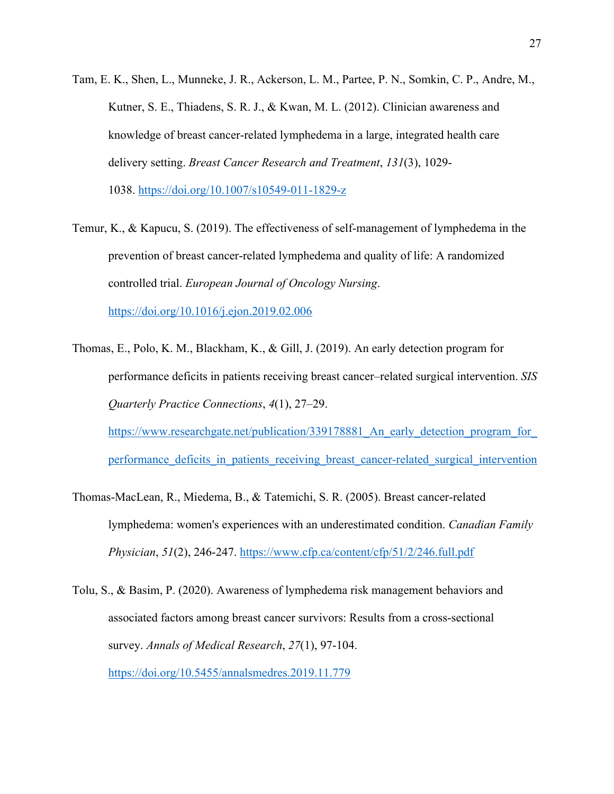- Tam, E. K., Shen, L., Munneke, J. R., Ackerson, L. M., Partee, P. N., Somkin, C. P., Andre, M., Kutner, S. E., Thiadens, S. R. J., & Kwan, M. L. (2012). Clinician awareness and knowledge of breast cancer-related lymphedema in a large, integrated health care delivery setting. *Breast Cancer Research and Treatment*, *131*(3), 1029- 1038. https://doi.org/10.1007/s10549-011-1829-z
- Temur, K., & Kapucu, S. (2019). The effectiveness of self-management of lymphedema in the prevention of breast cancer-related lymphedema and quality of life: A randomized controlled trial. *European Journal of Oncology Nursing*. https://doi.org/10.1016/j.ejon.2019.02.006
- Thomas, E., Polo, K. M., Blackham, K., & Gill, J. (2019). An early detection program for performance deficits in patients receiving breast cancer–related surgical intervention. *SIS Quarterly Practice Connections*, *4*(1), 27–29. https://www.researchgate.net/publication/339178881 An early detection program for

performance deficits in patients receiving breast cancer-related surgical intervention

- Thomas-MacLean, R., Miedema, B., & Tatemichi, S. R. (2005). Breast cancer-related lymphedema: women's experiences with an underestimated condition. *Canadian Family Physician*, *51*(2), 246-247. https://www.cfp.ca/content/cfp/51/2/246.full.pdf
- Tolu, S., & Basim, P. (2020). Awareness of lymphedema risk management behaviors and associated factors among breast cancer survivors: Results from a cross-sectional survey. *Annals of Medical Research*, *27*(1), 97-104. https://doi.org/10.5455/annalsmedres.2019.11.779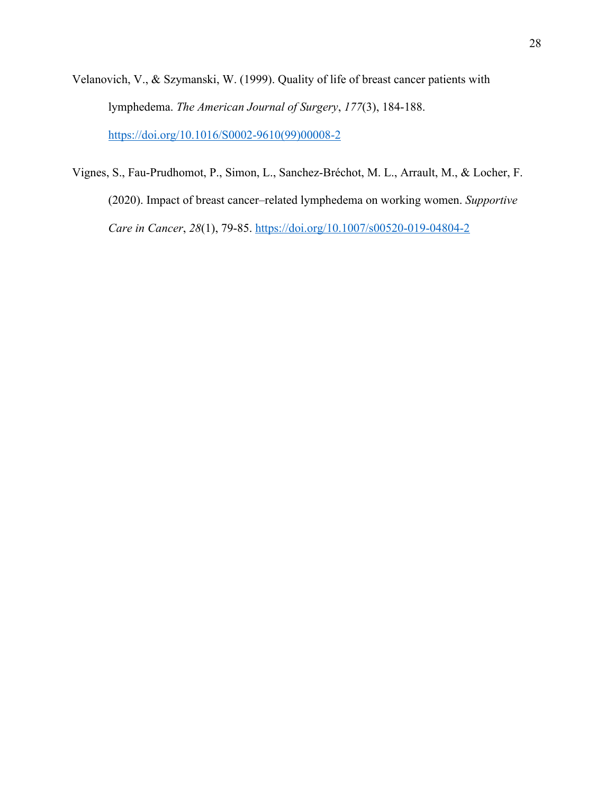- Velanovich, V., & Szymanski, W. (1999). Quality of life of breast cancer patients with lymphedema. *The American Journal of Surgery*, *177*(3), 184-188. https://doi.org/10.1016/S0002-9610(99)00008-2
- Vignes, S., Fau-Prudhomot, P., Simon, L., Sanchez-Bréchot, M. L., Arrault, M., & Locher, F. (2020). Impact of breast cancer–related lymphedema on working women. *Supportive Care in Cancer*, *28*(1), 79-85. https://doi.org/10.1007/s00520-019-04804-2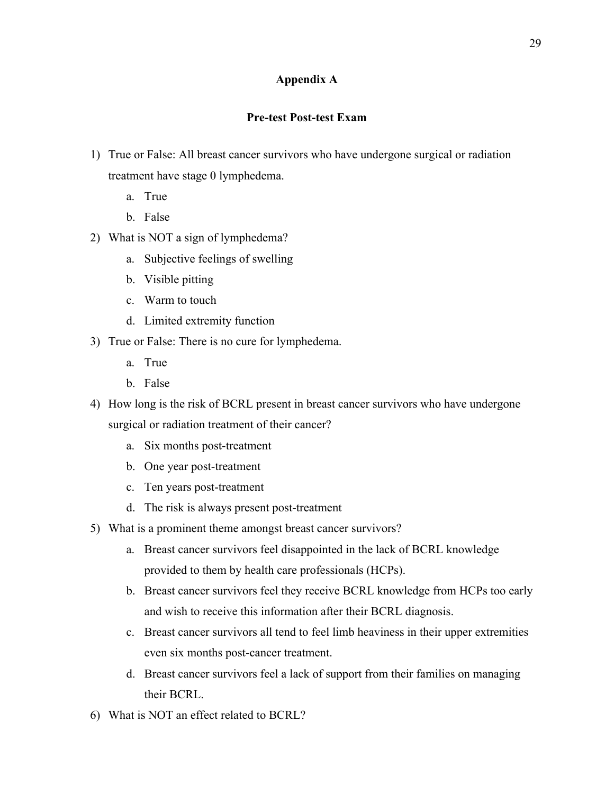## **Appendix A**

## **Pre-test Post-test Exam**

- 1) True or False: All breast cancer survivors who have undergone surgical or radiation treatment have stage 0 lymphedema.
	- a. True
	- b. False
- 2) What is NOT a sign of lymphedema?
	- a. Subjective feelings of swelling
	- b. Visible pitting
	- c. Warm to touch
	- d. Limited extremity function
- 3) True or False: There is no cure for lymphedema.
	- a. True
	- b. False
- 4) How long is the risk of BCRL present in breast cancer survivors who have undergone surgical or radiation treatment of their cancer?
	- a. Six months post-treatment
	- b. One year post-treatment
	- c. Ten years post-treatment
	- d. The risk is always present post-treatment
- 5) What is a prominent theme amongst breast cancer survivors?
	- a. Breast cancer survivors feel disappointed in the lack of BCRL knowledge provided to them by health care professionals (HCPs).
	- b. Breast cancer survivors feel they receive BCRL knowledge from HCPs too early and wish to receive this information after their BCRL diagnosis.
	- c. Breast cancer survivors all tend to feel limb heaviness in their upper extremities even six months post-cancer treatment.
	- d. Breast cancer survivors feel a lack of support from their families on managing their BCRL.
- 6) What is NOT an effect related to BCRL?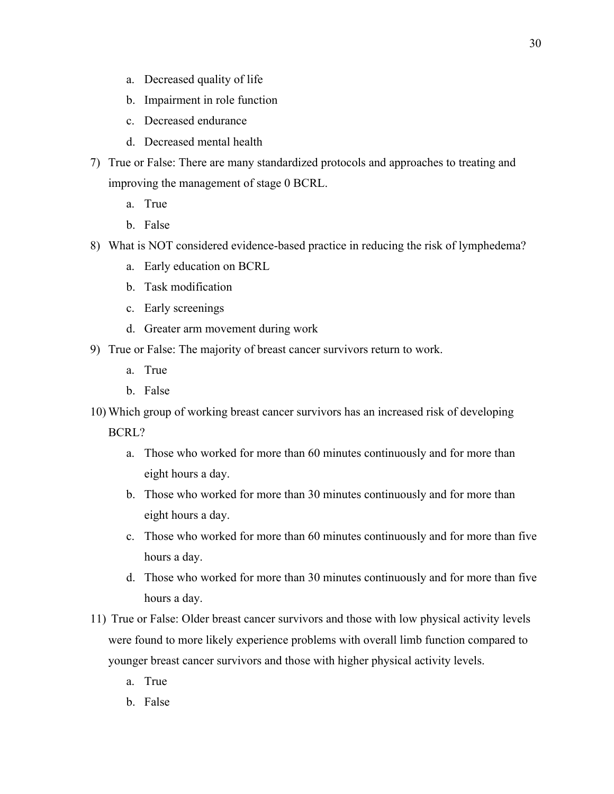- a. Decreased quality of life
- b. Impairment in role function
- c. Decreased endurance
- d. Decreased mental health
- 7) True or False: There are many standardized protocols and approaches to treating and improving the management of stage 0 BCRL.
	- a. True
	- b. False
- 8) What is NOT considered evidence-based practice in reducing the risk of lymphedema?
	- a. Early education on BCRL
	- b. Task modification
	- c. Early screenings
	- d. Greater arm movement during work
- 9) True or False: The majority of breast cancer survivors return to work.
	- a. True
	- b. False
- 10) Which group of working breast cancer survivors has an increased risk of developing

BCRL?

- a. Those who worked for more than 60 minutes continuously and for more than eight hours a day.
- b. Those who worked for more than 30 minutes continuously and for more than eight hours a day.
- c. Those who worked for more than 60 minutes continuously and for more than five hours a day.
- d. Those who worked for more than 30 minutes continuously and for more than five hours a day.
- 11) True or False: Older breast cancer survivors and those with low physical activity levels were found to more likely experience problems with overall limb function compared to younger breast cancer survivors and those with higher physical activity levels.
	- a. True
	- b. False